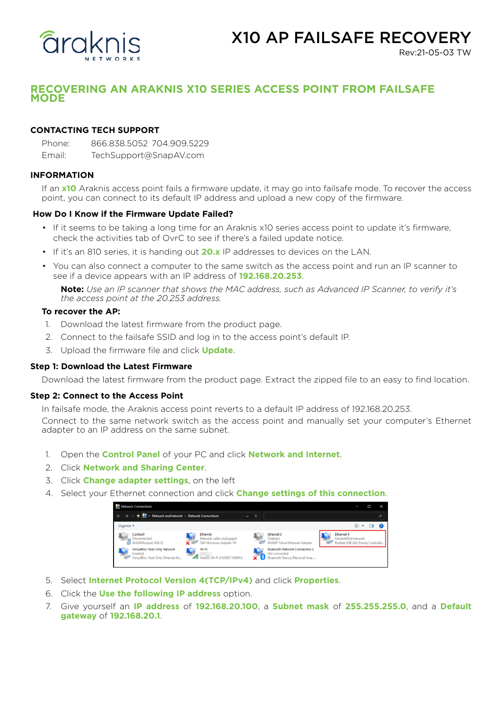

# X10 AP FAILSAFE RECOVERY

Rev:21-05-03 TW

# **RECOVERING AN ARAKNIS X10 SERIES ACCESS POINT FROM FAILSAFE MODE**

# **CONTACTING TECH SUPPORT**

Phone: 866.838.5052 704.909.5229 Email: TechSupport@SnapAV.com

# **INFORMATION**

If an **x10** Araknis access point fails a firmware update, it may go into failsafe mode. To recover the access point, you can connect to its default IP address and upload a new copy of the firmware.

## **How Do I Know if the Firmware Update Failed?**

- If it seems to be taking a long time for an Araknis x10 series access point to update it's firmware, check the activities tab of OvrC to see if there's a failed update notice.
- If it's an 810 series, it is handing out **20.x** IP addresses to devices on the LAN.
- You can also connect a computer to the same switch as the access point and run an IP scanner to see if a device appears with an IP address of **192.168.20.253**.

**Note:** *Use an IP scanner that shows the MAC address, such as Advanced IP Scanner, to verify it's the access point at the 20.253 address.*

# **To recover the AP:**

- 1. Download the latest firmware from the product page.
- 2. Connect to the failsafe SSID and log in to the access point's default IP.
- 3. Upload the firmware file and click **Update**.

#### **Step 1: Download the Latest Firmware**

Download the latest firmware from the product page. Extract the zipped file to an easy to find location.

#### **Step 2: Connect to the Access Point**

In failsafe mode, the Araknis access point reverts to a default IP address of 192.168.20.253. Connect to the same network switch as the access point and manually set your computer's Ethernet

adapter to an IP address on the same subnet.

- 1. Open the **Control Panel** of your PC and click **Network and Internet**.
- 2. Click **Network and Sharing Center**.
- 3. Click **Change adapter settings**, on the left
- 4. Select your Ethernet connection and click **Change settings of this connection**.



- 5. Select **Internet Protocol Version 4(TCP/IPv4)** and click **Properties**.
- 6. Click the **Use the following IP address** option.
- 7. Give yourself an **IP address** of **192.168.20.100**, a **Subnet mask** of **255.255.255.0**, and a **Default gateway** of **192.168.20.1**.